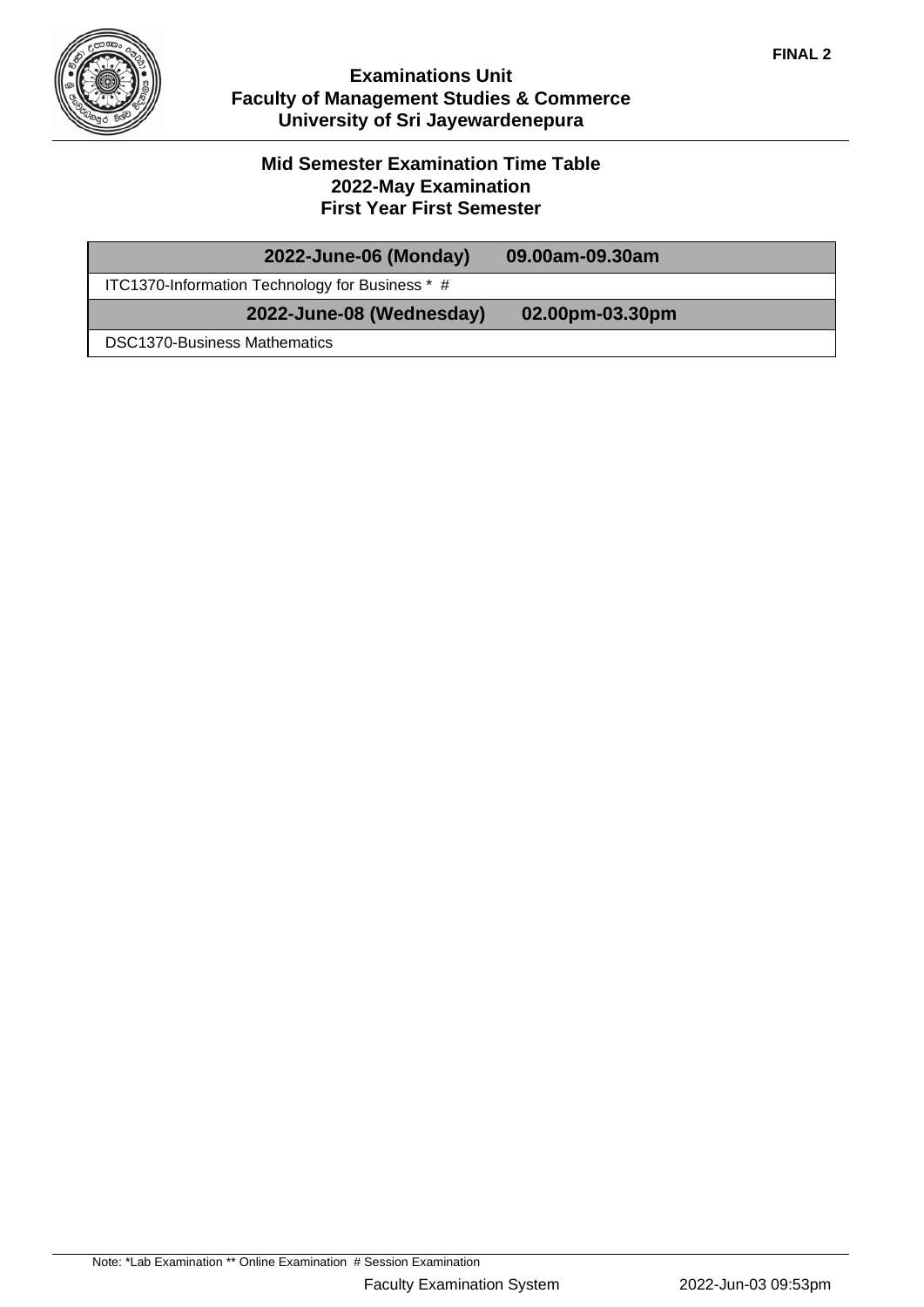

#### **Mid Semester Examination Time Table 2022-May Examination First Year First Semester**

| 2022-June-06 (Monday)                           | 09.00am-09.30am |
|-------------------------------------------------|-----------------|
| ITC1370-Information Technology for Business * # |                 |
| 2022-June-08 (Wednesday)                        | 02.00pm-03.30pm |
| <b>DSC1370-Business Mathematics</b>             |                 |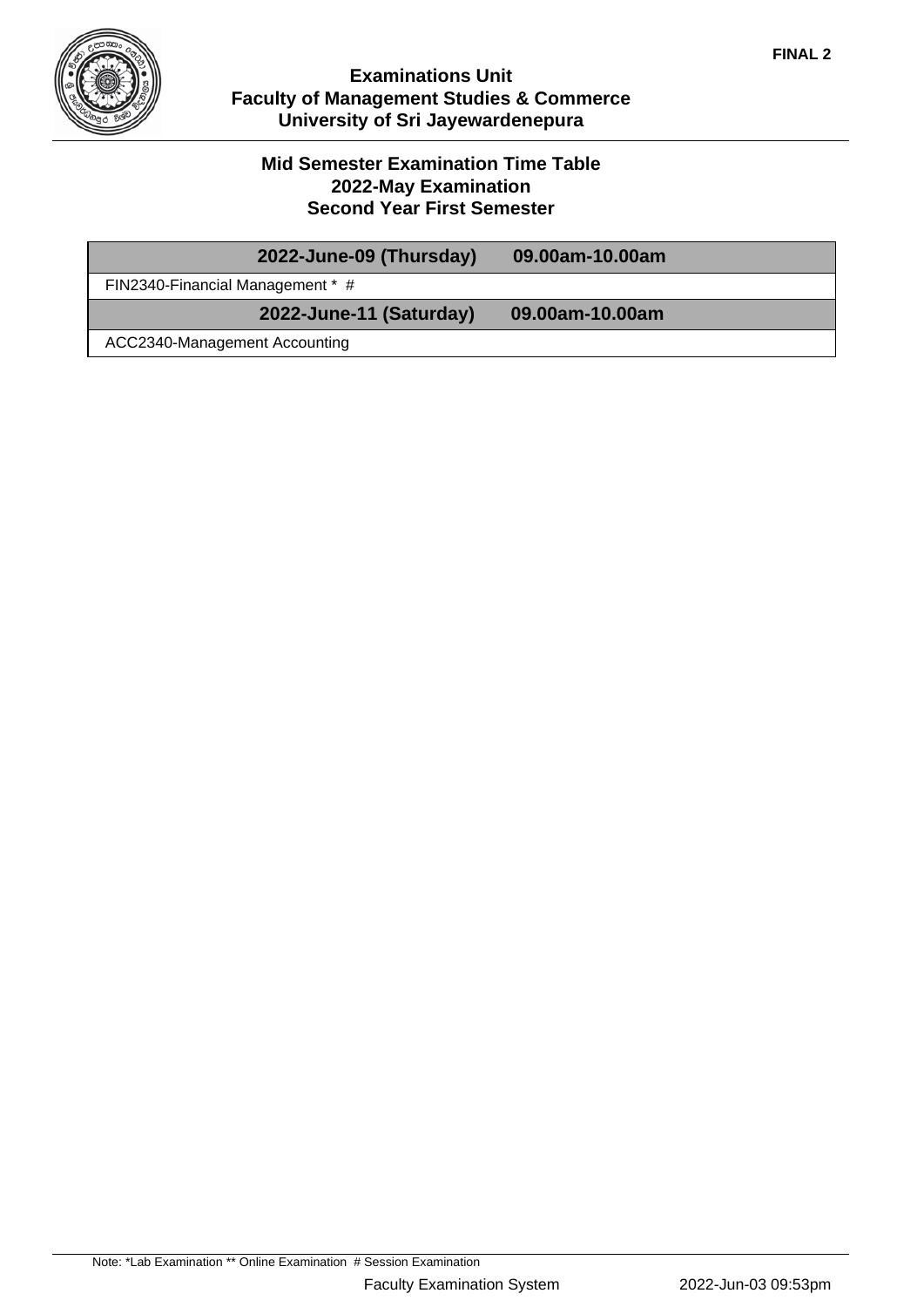

#### **Mid Semester Examination Time Table 2022-May Examination Second Year First Semester**

|                                  | 2022-June-09 (Thursday) | 09.00am-10.00am |  |
|----------------------------------|-------------------------|-----------------|--|
| FIN2340-Financial Management * # |                         |                 |  |
|                                  | 2022-June-11 (Saturday) | 09.00am-10.00am |  |
| ACC2340-Management Accounting    |                         |                 |  |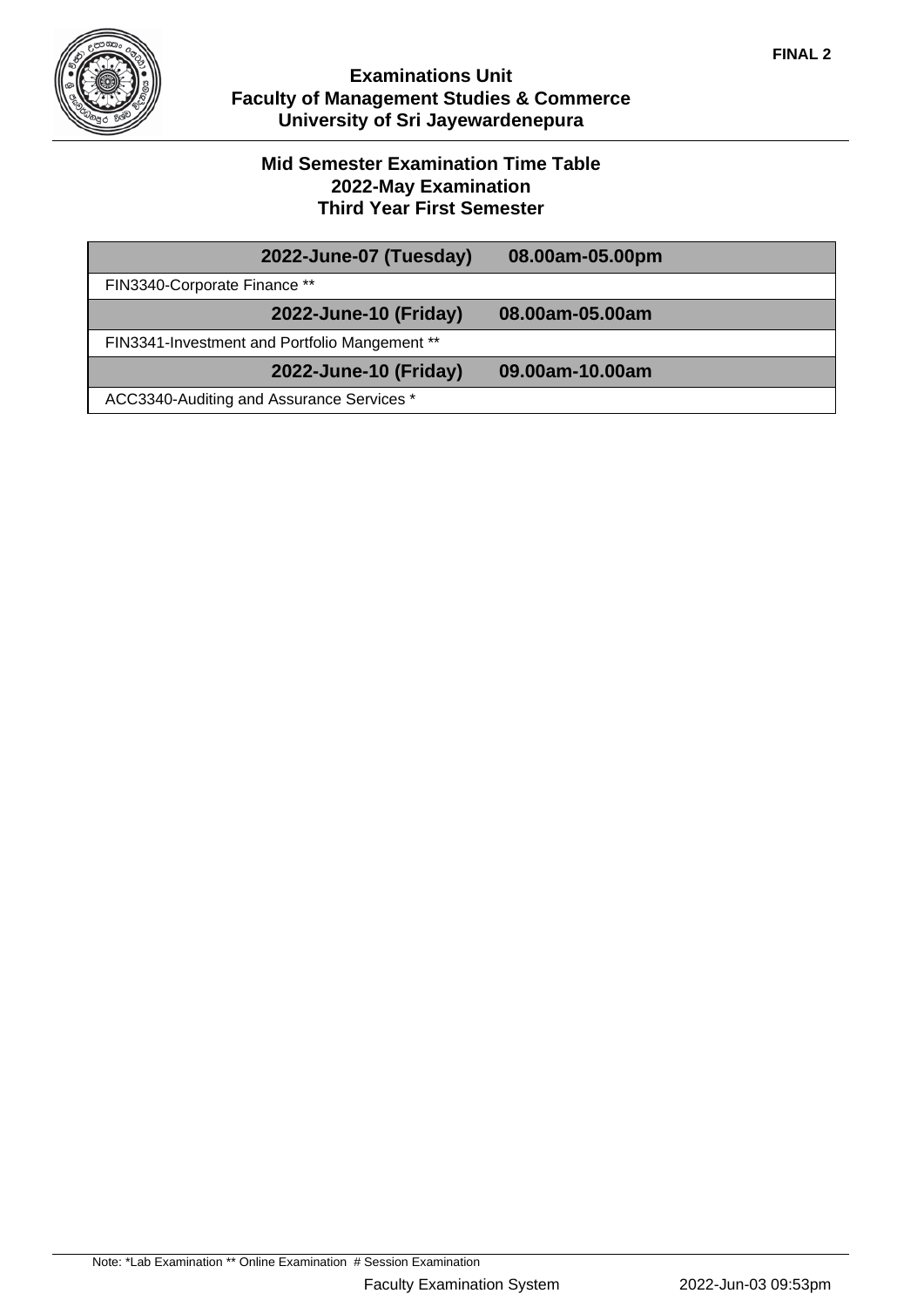

#### **Mid Semester Examination Time Table 2022-May Examination Third Year First Semester**

| 2022-June-07 (Tuesday)                        | 08.00am-05.00pm |
|-----------------------------------------------|-----------------|
| FIN3340-Corporate Finance **                  |                 |
| 2022-June-10 (Friday)                         | 08.00am-05.00am |
| FIN3341-Investment and Portfolio Mangement ** |                 |
| 2022-June-10 (Friday)                         | 09.00am-10.00am |
| ACC3340-Auditing and Assurance Services *     |                 |